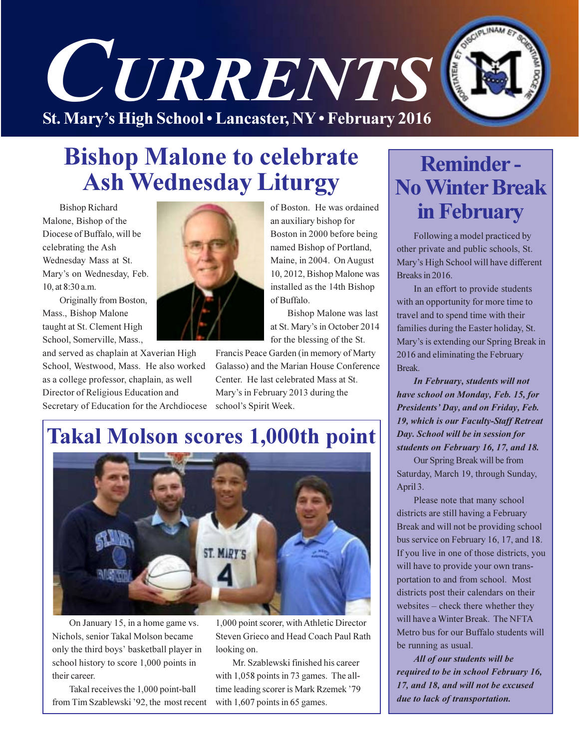

### **Bishop Malone to celebrate Ash Wednesday Liturgy**

**Bishop Richard** Malone, Bishop of the Diocese of Buffalo, will be celebrating the Ash Wednesday Mass at St. Mary's on Wednesday, Feb. 10, at 8:30 a.m.

Originally from Boston, Mass., Bishop Malone taught at St. Clement High School, Somerville, Mass.,

and served as chaplain at Xaverian High School, Westwood, Mass. He also worked as a college professor, chaplain, as well Director of Religious Education and Secretary of Education for the Archdiocese



of Boston. He was ordained an auxiliary bishop for Boston in 2000 before being named Bishop of Portland, Maine, in 2004. On August 10, 2012, Bishop Malone was installed as the 14th Bishop of Buffalo.

**Bishop Malone was last** at St. Mary's in October 2014 for the blessing of the St.

Francis Peace Garden (in memory of Marty Galasso) and the Marian House Conference Center. He last celebrated Mass at St. Mary's in February 2013 during the school's Spirit Week.

### **Takal Molson scores 1,000th point**



On January 15, in a home game vs. Nichols, senior Takal Molson became only the third boys' basketball player in school history to score 1,000 points in their career.

Takal receives the 1,000 point-ball from Tim Szablewski '92, the most recent 1,000 point scorer, with Athletic Director Steven Grieco and Head Coach Paul Rath looking on.

Mr. Szablewski finished his career with 1,058 points in 73 games. The alltime leading scorer is Mark Rzemek '79 with  $1,607$  points in 65 games.

### **Reminder-No Winter Break** in February

Following a model practiced by other private and public schools, St. Mary's High School will have different Breaks in 2016.

In an effort to provide students with an opportunity for more time to travel and to spend time with their families during the Easter holiday, St. Mary's is extending our Spring Break in 2016 and eliminating the February Break.

In February, students will not have school on Monday, Feb. 15, for Presidents' Day, and on Friday, Feb. 19, which is our Faculty-Staff Retreat Day. School will be in session for students on February 16, 17, and 18.

Our Spring Break will be from Saturday, March 19, through Sunday, April 3.

Please note that many school districts are still having a February Break and will not be providing school bus service on February 16, 17, and 18. If you live in one of those districts, you will have to provide your own transportation to and from school. Most districts post their calendars on their websites – check there whether they will have a Winter Break. The NFTA Metro bus for our Buffalo students will be running as usual.

All of our students will be required to be in school February 16, 17, and 18, and will not be excused due to lack of transportation.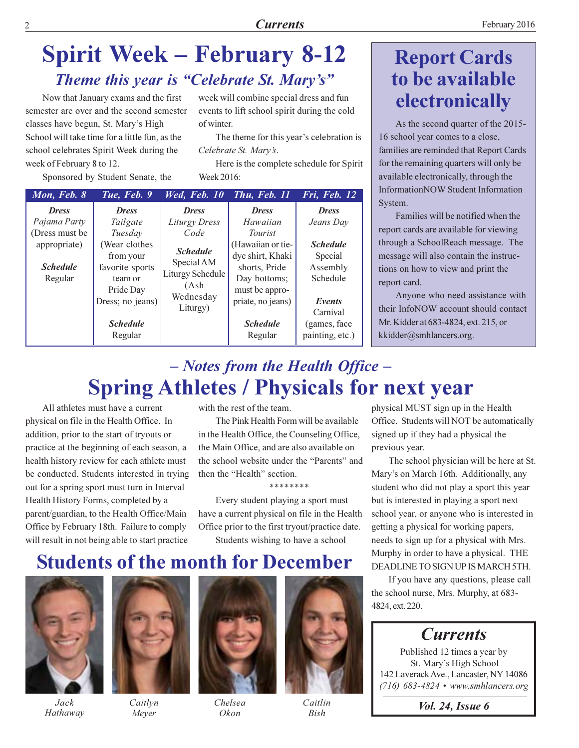week will combine special dress and fun

events to lift school spirit during the cold

The theme for this year's celebration is

Here is the complete schedule for Spirit

### **Spirit Week – February 8-12** Theme this year is "Celebrate St. Mary's"

of winter.

Week 2016:

Celebrate St. Mary's.

Now that January exams and the first semester are over and the second semester classes have begun, St. Mary's High School will take time for a little fun, as the school celebrates Spirit Week during the week of February 8 to 12.

Sponsored by Student Senate, the

| Mon, Feb. 8     | Tue, Feb. 9      | Wed, Feb. 10                                                           | Thu, Feb. 11      | Fri, Feb. 12    |
|-----------------|------------------|------------------------------------------------------------------------|-------------------|-----------------|
| <b>Dress</b>    | <b>Dress</b>     | <b>Dress</b>                                                           | <b>Dress</b>      | <b>Dress</b>    |
| Pajama Party    | Tailgate         | Liturgy Dress                                                          | Hawaiian          | Jeans Day       |
| (Dress must be  | Tuesday          | Code                                                                   | <i>Tourist</i>    |                 |
| appropriate)    | (Wear clothes    | <b>Schedule</b>                                                        | (Hawaiian or tie- | <b>Schedule</b> |
|                 | from your        | Special AM<br><b>Liturgy Schedule</b><br>(Ash<br>Wednesday<br>Liturgy) | dye shirt, Khaki  | Special         |
| <b>Schedule</b> | favorite sports  |                                                                        | shorts, Pride     | Assembly        |
| Regular         | team or          |                                                                        | Day bottoms;      | Schedule        |
|                 | Pride Day        |                                                                        | must be appro-    |                 |
|                 | Dress; no jeans) |                                                                        | priate, no jeans) | Events          |
|                 |                  |                                                                        |                   | Carnival        |
|                 | <b>Schedule</b>  |                                                                        | <b>Schedule</b>   | (games, face)   |
|                 | Regular          |                                                                        | Regular           | painting, etc.) |

### **Report Cards** to be available electronically

As the second quarter of the 2015-16 school year comes to a close, families are reminded that Report Cards for the remaining quarters will only be available electronically, through the Information NOW Student Information System.

Families will be notified when the report cards are available for viewing through a SchoolReach message. The message will also contain the instructions on how to view and print the report card.

Anyone who need assistance with their InfoNOW account should contact Mr. Kidder at 683-4824, ext. 215, or kkidder@smhlancers.org.

### - Notes from the Health Office -**Spring Athletes / Physicals for next year**

All athletes must have a current physical on file in the Health Office. In addition, prior to the start of tryouts or practice at the beginning of each season, a health history review for each athlete must be conducted. Students interested in trying out for a spring sport must turn in Interval Health History Forms, completed by a parent/guardian, to the Health Office/Main Office by February 18th. Failure to comply will result in not being able to start practice

with the rest of the team.

The Pink Health Form will be available in the Health Office, the Counseling Office, the Main Office, and are also available on the school website under the "Parents" and then the "Health" section.

\*\*\*\*\*\*\*\*

Every student playing a sport must have a current physical on file in the Health Office prior to the first tryout/practice date. Students wishing to have a school

physical MUST sign up in the Health Office. Students will NOT be automatically signed up if they had a physical the previous year.

The school physician will be here at St. Mary's on March 16th. Additionally, any student who did not play a sport this year but is interested in playing a sport next school year, or anyone who is interested in getting a physical for working papers, needs to sign up for a physical with Mrs. Murphy in order to have a physical. THE DEADLINE TO SIGN UP IS MARCH 5TH.

#### If you have any questions, please call the school nurse, Mrs. Murphy, at 683-4824, ext. 220.

### **Currents**

Published 12 times a year by St. Mary's High School 142 Laverack Ave., Lancaster, NY 14086  $(716)$  683-4824 • www.smhlancers.org

*Vol. 24, Issue 6* 

### **Students of the month for December**



Jack Hathaway



Caitlyn Meyer



Chelsea Okon



Caitlin **Bish**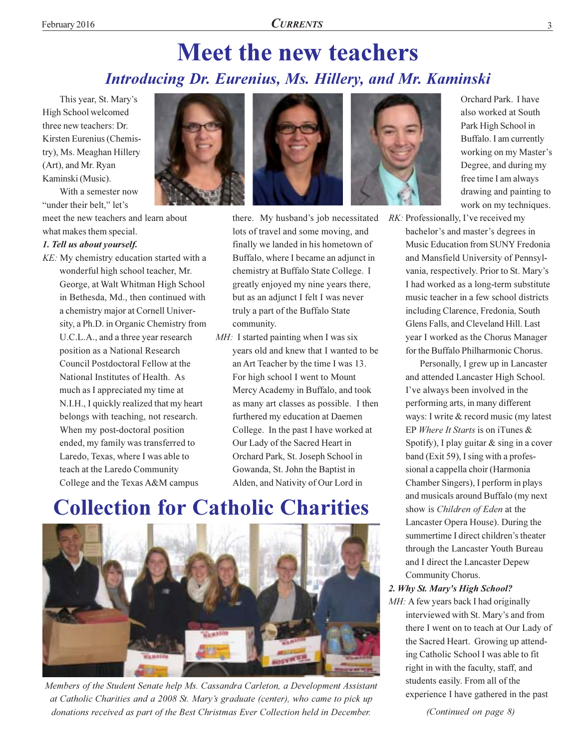### **Meet the new teachers Introducing Dr. Eurenius, Ms. Hillery, and Mr. Kaminski**

This year, St. Mary's High School welcomed three new teachers: Dr. Kirsten Eurenius (Chemistry), Ms. Meaghan Hillery (Art), and Mr. Ryan Kaminski (Music).

With a semester now "under their belt." let's

meet the new teachers and learn about

#### what makes them special. 1. Tell us about yourself.

KE: My chemistry education started with a wonderful high school teacher, Mr. George, at Walt Whitman High School in Bethesda, Md., then continued with a chemistry major at Cornell University, a Ph.D. in Organic Chemistry from U.C.L.A., and a three year research position as a National Research Council Postdoctoral Fellow at the National Institutes of Health. As much as I appreciated my time at N.I.H., I quickly realized that my heart belongs with teaching, not research. When my post-doctoral position ended, my family was transferred to Laredo, Texas, where I was able to teach at the Laredo Community College and the Texas A&M campus





there. My husband's job necessitated lots of travel and some moving, and finally we landed in his hometown of Buffalo, where I became an adjunct in chemistry at Buffalo State College. I greatly enjoyed my nine years there, but as an adjunct I felt I was never truly a part of the Buffalo State community.

MH: I started painting when I was six years old and knew that I wanted to be an Art Teacher by the time I was 13. For high school I went to Mount Mercy Academy in Buffalo, and took as many art classes as possible. I then furthered my education at Daemen College. In the past I have worked at Our Lady of the Sacred Heart in Orchard Park, St. Joseph School in Gowanda, St. John the Baptist in Alden, and Nativity of Our Lord in

### **Collection for Catholic Charities**



Members of the Student Senate help Ms. Cassandra Carleton, a Development Assistant at Catholic Charities and a 2008 St. Mary's graduate (center), who came to pick up donations received as part of the Best Christmas Ever Collection held in December.



Orchard Park. I have also worked at South Park High School in Buffalo. I am currently working on my Master's Degree, and during my free time I am always drawing and painting to work on my techniques.

RK: Professionally, I've received my bachelor's and master's degrees in Music Education from SUNY Fredonia and Mansfield University of Pennsylvania, respectively. Prior to St. Mary's I had worked as a long-term substitute music teacher in a few school districts including Clarence, Fredonia, South Glens Falls, and Cleveland Hill, Last year I worked as the Chorus Manager for the Buffalo Philharmonic Chorus.

> Personally, I grew up in Lancaster and attended Lancaster High School. I've always been involved in the performing arts, in many different ways: I write & record music (my latest EP Where It Starts is on iTunes & Spotify), I play guitar  $&$  sing in a cover band (Exit 59), I sing with a professional a cappella choir (Harmonia Chamber Singers), I perform in plays and musicals around Buffalo (my next show is Children of Eden at the Lancaster Opera House). During the summertime I direct children's theater through the Lancaster Youth Bureau and I direct the Lancaster Depew Community Chorus.

#### 2. Why St. Mary's High School?

MH: A few years back I had originally interviewed with St. Mary's and from there I went on to teach at Our Lady of the Sacred Heart. Growing up attending Catholic School I was able to fit right in with the faculty, staff, and students easily. From all of the experience I have gathered in the past

(Continued on page 8)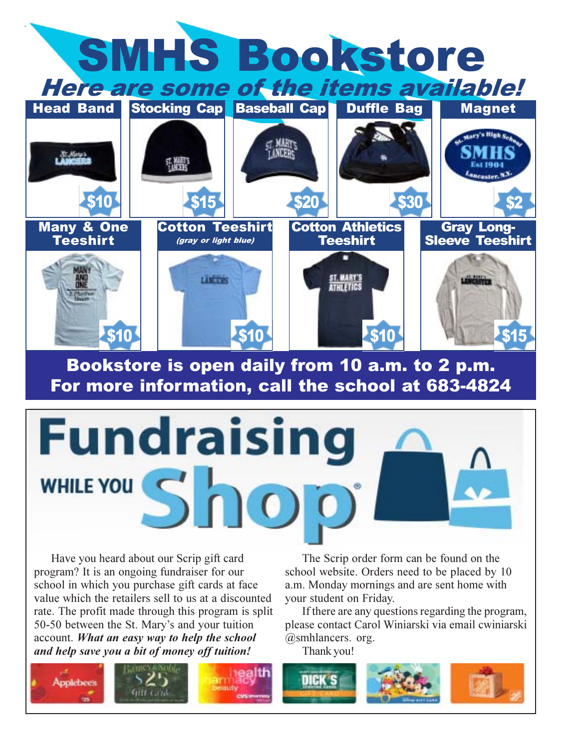

Bookstore is open daily from 10 a.m. to 2 p.m. For more information, call the school at 683-4824

# Fundraisin WHILE YOU S

Have you heard about our Scrip gift card program? It is an ongoing fundraiser for our school in which you purchase gift cards at face value which the retailers sell to us at a discounted rate. The profit made through this program is split 50-50 between the St. Mary's and your tuition account. What an easy way to help the school and help save you a bit of money off tuition!

The Scrip order form can be found on the school website. Orders need to be placed by 10 a.m. Monday mornings and are sent home with your student on Friday.

If there are any questions regarding the program, please contact Carol Winiarski via email cwiniarski @smhlancers. org.

Thank you!

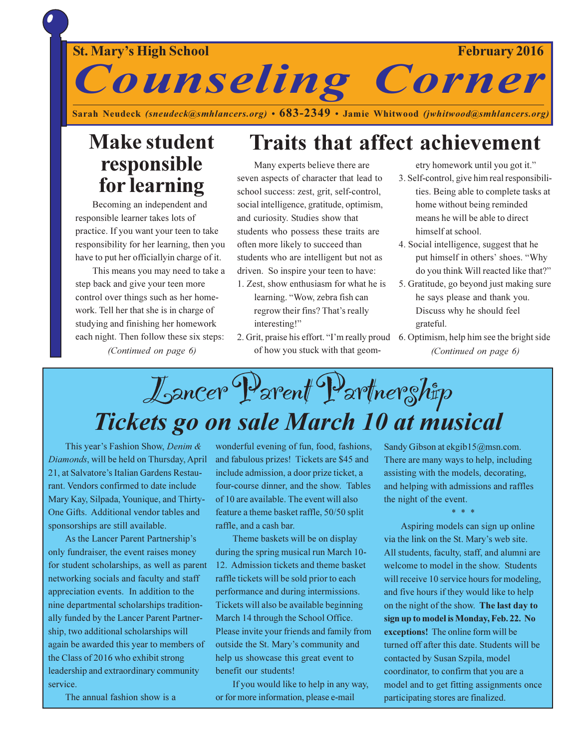#### **February 2016**

#### **St. Mary's High School**

**Counseling Corner** 

Sarah Neudeck (sneudeck@smhlancers.org) • 683-2349 • Jamie Whitwood (jwhitwood@smhlancers.org)

### **Make student** responsible for learning

Becoming an independent and responsible learner takes lots of practice. If you want your teen to take responsibility for her learning, then you have to put her officially in charge of it.

This means you may need to take a step back and give your teen more control over things such as her homework. Tell her that she is in charge of studying and finishing her homework each night. Then follow these six steps:

(Continued on page 6)

### **Traits that affect achievement**

Many experts believe there are seven aspects of character that lead to school success: zest, grit, self-control, social intelligence, gratitude, optimism, and curiosity. Studies show that students who possess these traits are often more likely to succeed than students who are intelligent but not as driven. So inspire your teen to have:

- 1. Zest, show enthusiasm for what he is learning. "Wow, zebra fish can regrow their fins? That's really interesting!"
- 2. Grit, praise his effort. "I'm really proud 6. Optimism, help him see the bright side of how you stuck with that geom-

etry homework until you got it." 3. Self-control, give him real responsibili-

- ties. Being able to complete tasks at home without being reminded means he will be able to direct himself at school.
- 4. Social intelligence, suggest that he put himself in others' shoes. "Why do you think Will reacted like that?"
- 5. Gratitude, go beyond just making sure he says please and thank you. Discuss why he should feel grateful.
- (Continued on page 6)

# Lancer Parent Partnership Tickets go on sale March 10 at musical

This year's Fashion Show, Denim & Diamonds, will be held on Thursday, April 21, at Salvatore's Italian Gardens Restaurant. Vendors confirmed to date include Mary Kay, Silpada, Younique, and Thirty-One Gifts. Additional vendor tables and sponsorships are still available.

As the Lancer Parent Partnership's only fundraiser, the event raises money for student scholarships, as well as parent networking socials and faculty and staff appreciation events. In addition to the nine departmental scholarships traditionally funded by the Lancer Parent Partnership, two additional scholarships will again be awarded this year to members of the Class of 2016 who exhibit strong leadership and extraordinary community service

The annual fashion show is a

wonderful evening of fun, food, fashions, and fabulous prizes! Tickets are \$45 and include admission, a door prize ticket, a four-course dinner, and the show. Tables of 10 are available. The event will also feature a theme basket raffle, 50/50 split raffle, and a cash bar.

Theme baskets will be on display during the spring musical run March 10-12. Admission tickets and theme basket raffle tickets will be sold prior to each performance and during intermissions. Tickets will also be available beginning March 14 through the School Office. Please invite your friends and family from outside the St. Mary's community and help us showcase this great event to benefit our students!

If you would like to help in any way, or for more information, please e-mail

Sandy Gibson at ekgib15@msn.com. There are many ways to help, including assisting with the models, decorating, and helping with admissions and raffles the night of the event.

Aspiring models can sign up online via the link on the St. Mary's web site. All students, faculty, staff, and alumni are welcome to model in the show. Students will receive 10 service hours for modeling, and five hours if they would like to help on the night of the show. The last day to sign up to model is Monday, Feb. 22. No exceptions! The online form will be turned off after this date. Students will be contacted by Susan Szpila, model coordinator, to confirm that you are a model and to get fitting assignments once participating stores are finalized.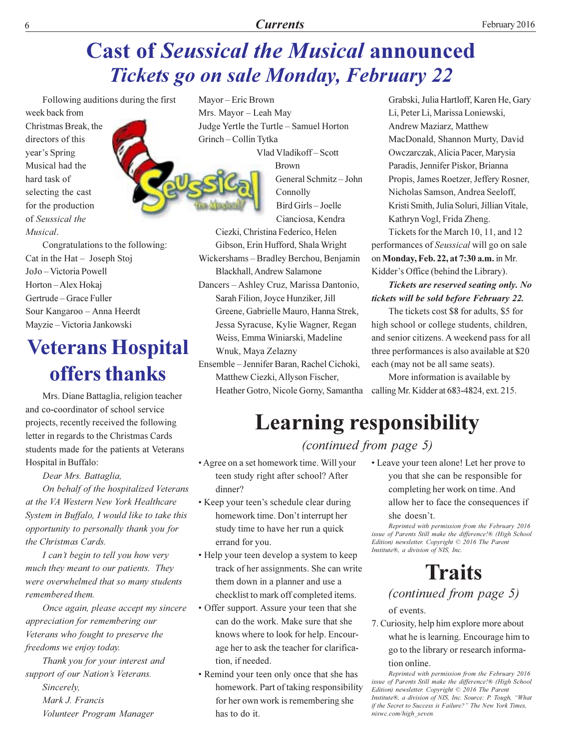### **Cast of Seussical the Musical announced Tickets go on sale Monday, February 22**

Following auditions during the first week back from Christmas Break, the directors of this year's Spring Musical had the hard task of

selecting the cast

for the production

of Seussical the

Musical.



Congratulations to the following: Cat in the  $Hat - Joseph Stoj$ JoJo-Victoria Powell Horton-Alex Hokaj Gertrude – Grace Fuller Sour Kangaroo - Anna Heerdt Mayzie - Victoria Jankowski

### **Veterans Hospital** offers thanks

Mrs. Diane Battaglia, religion teacher and co-coordinator of school service projects, recently received the following letter in regards to the Christmas Cards students made for the patients at Veterans Hospital in Buffalo:

Dear Mrs. Battaglia,

On behalf of the hospitalized Veterans at the VA Western New York Healthcare System in Buffalo, I would like to take this opportunity to personally thank you for the Christmas Cards.

I can't begin to tell you how very much they meant to our patients. They were overwhelmed that so many students remembered them.

Once again, please accept my sincere appreciation for remembering our Veterans who fought to preserve the freedoms we enjoy today.

Thank you for your interest and support of our Nation's Veterans.

Sincerely. Mark J. Francis Volunteer Program Manager Mayor - Eric Brown Mrs. Mayor - Leah May Judge Yertle the Turtle - Samuel Horton Grinch-Collin Tytka



Vlad Vladikoff-Scott **Brown** General Schmitz-John Connolly Bird Girls-Joelle Cianciosa, Kendra

Ciezki, Christina Federico, Helen Gibson, Erin Hufford, Shala Wright Wickershams-Bradley Berchou, Benjamin Blackhall, Andrew Salamone Dancers - Ashley Cruz, Marissa Dantonio, Sarah Filion, Joyce Hunziker, Jill Greene, Gabrielle Mauro, Hanna Strek, Jessa Syracuse, Kylie Wagner, Regan Weiss, Emma Winiarski, Madeline Wnuk, Maya Zelazny

Ensemble - Jennifer Baran, Rachel Cichoki, Matthew Ciezki, Allyson Fischer, Heather Gotro, Nicole Gorny, Samantha calling Mr. Kidder at 683-4824, ext. 215.

Grabski, Julia Hartloff, Karen He, Gary Li, Peter Li, Marissa Loniewski, Andrew Maziarz, Matthew MacDonald, Shannon Murty, David Owczarczak, Alicia Pacer, Marysia Paradis, Jennifer Piskor, Brianna Propis, James Roetzer, Jeffery Rosner, Nicholas Samson, Andrea Seeloff, Kristi Smith, Julia Soluri, Jillian Vitale, Kathryn Vogl, Frida Zheng.

Tickets for the March 10, 11, and 12 performances of Seussical will go on sale on Monday, Feb. 22, at 7:30 a.m. in Mr. Kidder's Office (behind the Library).

#### Tickets are reserved seating only. No tickets will be sold before February 22.

The tickets cost \$8 for adults, \$5 for high school or college students, children, and senior citizens. A weekend pass for all three performances is also available at \$20 each (may not be all same seats).

More information is available by

### **Learning responsibility**

(continued from page 5)

- Agree on a set homework time. Will your teen study right after school? After dinner?
- Keep your teen's schedule clear during homework time. Don't interrupt her study time to have her run a quick errand for you.
- Help your teen develop a system to keep track of her assignments. She can write them down in a planner and use a checklist to mark off completed items.
- Offer support. Assure your teen that she can do the work. Make sure that she knows where to look for help. Encourage her to ask the teacher for clarification, if needed.
- Remind your teen only once that she has homework. Part of taking responsibility for her own work is remembering she has to do it.

• Leave your teen alone! Let her prove to you that she can be responsible for completing her work on time. And

allow her to face the consequences if she doesn't.

Reprinted with permission from the February 2016 issue of Parents Still make the difference!® (High School Edition) newsletter. Copyright  $\odot$  2016 The Parent Institute®, a division of NIS, Inc.

### **Traits**

(continued from page 5) of events.

7. Curiosity, help him explore more about what he is learning. Encourage him to go to the library or research informa-

#### tion online.

Reprinted with permission from the February 2016 issue of Parents Still make the difference!® (High School Edition) newsletter. Copyright © 2016 The Parent Institute®, a division of NIS, Inc. Source: P. Tough, "What if the Secret to Success is Failure?" The New York Times, niswc.com/high seven.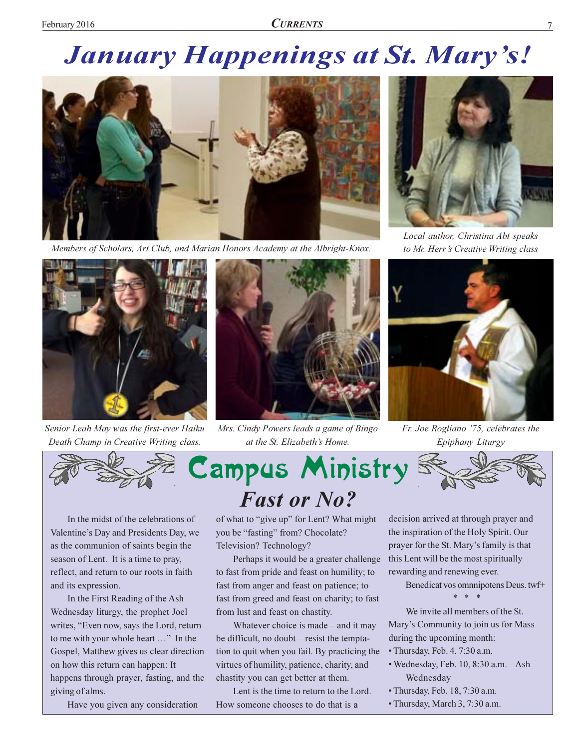### **January Happenings at St. Mary's!**



Members of Scholars, Art Club, and Marian Honors Academy at the Albright-Knox.



Senior Leah May was the first-ever Haiku Death Champ in Creative Writing class.



Mrs. Cindy Powers leads a game of Bingo at the St. Elizabeth's Home.



Local author, Christina Abt speaks to Mr. Herr's Creative Writing class



Fr. Joe Rogliano '75, celebrates the Epiphany Liturgy



In the midst of the celebrations of Valentine's Day and Presidents Day, we as the communion of saints begin the season of Lent. It is a time to pray, reflect, and return to our roots in faith and its expression.

In the First Reading of the Ash Wednesday liturgy, the prophet Joel writes, "Even now, says the Lord, return to me with your whole heart ..." In the Gospel, Matthew gives us clear direction on how this return can happen: It happens through prayer, fasting, and the giving of alms.

Have you given any consideration

of what to "give up" for Lent? What might you be "fasting" from? Chocolate? Television? Technology?

Perhaps it would be a greater challenge to fast from pride and feast on humility; to fast from anger and feast on patience; to fast from greed and feast on charity; to fast from lust and feast on chastity.

Whatever choice is made  $-$  and it may be difficult, no doubt – resist the temptation to quit when you fail. By practicing the virtues of humility, patience, charity, and chastity you can get better at them.

Lent is the time to return to the Lord. How someone chooses to do that is a

decision arrived at through prayer and the inspiration of the Holy Spirit. Our prayer for the St. Mary's family is that this Lent will be the most spiritually rewarding and renewing ever.

Benedicat vos omnnipotens Deus. twf+

We invite all members of the St. Mary's Community to join us for Mass during the upcoming month:

- Thursday, Feb. 4, 7:30 a.m.
- · Wednesday, Feb. 10, 8:30 a.m. Ash Wednesday
- · Thursday, Feb. 18, 7:30 a.m.
- Thursday, March 3, 7:30 a.m.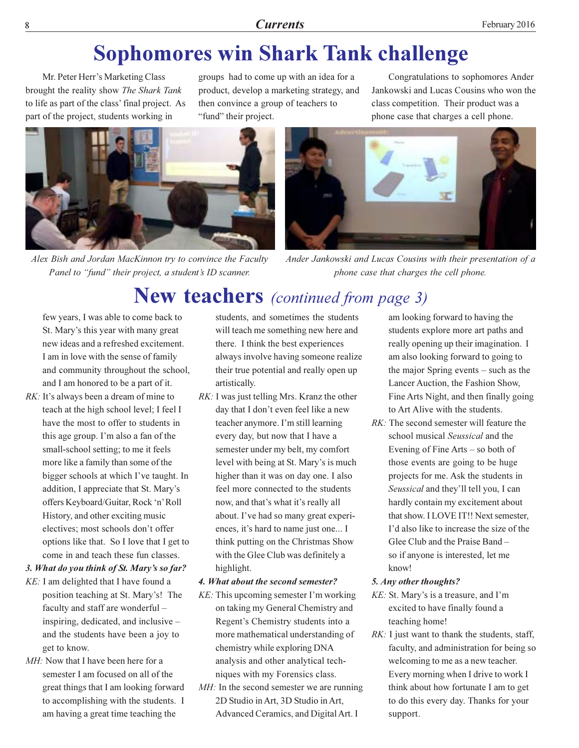### **Sophomores win Shark Tank challenge**

Mr. Peter Herr's Marketing Class brought the reality show The Shark Tank to life as part of the class' final project. As part of the project, students working in

groups had to come up with an idea for a product, develop a marketing strategy, and then convince a group of teachers to "fund" their project.

Congratulations to sophomores Ander Jankowski and Lucas Cousins who won the class competition. Their product was a phone case that charges a cell phone.



Alex Bish and Jordan MacKinnon try to convince the Faculty Panel to "fund" their project, a student's ID scanner.



Ander Jankowski and Lucas Cousins with their presentation of a phone case that charges the cell phone.

### New teachers (continued from page 3)

few years, I was able to come back to St. Mary's this year with many great new ideas and a refreshed excitement. I am in love with the sense of family and community throughout the school, and I am honored to be a part of it.

RK: It's always been a dream of mine to teach at the high school level; I feel I have the most to offer to students in this age group. I'm also a fan of the small-school setting; to me it feels more like a family than some of the bigger schools at which I've taught. In addition, I appreciate that St. Mary's offers Keyboard/Guitar, Rock 'n' Roll History, and other exciting music electives; most schools don't offer options like that. So I love that I get to come in and teach these fun classes.

#### 3. What do you think of St. Mary's so far?

- KE: I am delighted that I have found a position teaching at St. Mary's! The faculty and staff are wonderful inspiring, dedicated, and inclusive and the students have been a joy to get to know.
- MH: Now that I have been here for a semester I am focused on all of the great things that I am looking forward to accomplishing with the students. I am having a great time teaching the

students, and sometimes the students will teach me something new here and there. I think the best experiences always involve having someone realize their true potential and really open up artistically.

RK: I was just telling Mrs. Kranz the other day that I don't even feel like a new teacher anymore. I'm still learning every day, but now that I have a semester under my belt, my comfort level with being at St. Mary's is much higher than it was on day one. I also feel more connected to the students now, and that's what it's really all about. I've had so many great experiences, it's hard to name just one... I think putting on the Christmas Show with the Glee Club was definitely a highlight.

#### 4. What about the second semester?

- KE: This upcoming semester I'm working on taking my General Chemistry and Regent's Chemistry students into a more mathematical understanding of chemistry while exploring DNA analysis and other analytical techniques with my Forensics class.
- MH: In the second semester we are running 2D Studio in Art, 3D Studio in Art, Advanced Ceramics, and Digital Art. I

am looking forward to having the students explore more art paths and really opening up their imagination. I am also looking forward to going to the major Spring events  $-$  such as the Lancer Auction, the Fashion Show, Fine Arts Night, and then finally going to Art Alive with the students.

 $RK$ : The second semester will feature the school musical Seussical and the Evening of Fine Arts  $-$  so both of those events are going to be huge projects for me. Ask the students in Seussical and they'll tell you, I can hardly contain my excitement about that show. I LOVE IT!! Next semester, I'd also like to increase the size of the Glee Club and the Praise Band so if anyone is interested, let me know!

#### 5. Any other thoughts?

- KE: St. Mary's is a treasure, and I'm excited to have finally found a teaching home!
- RK: I just want to thank the students, staff, faculty, and administration for being so welcoming to me as a new teacher. Every morning when I drive to work I think about how fortunate I am to get to do this every day. Thanks for your support.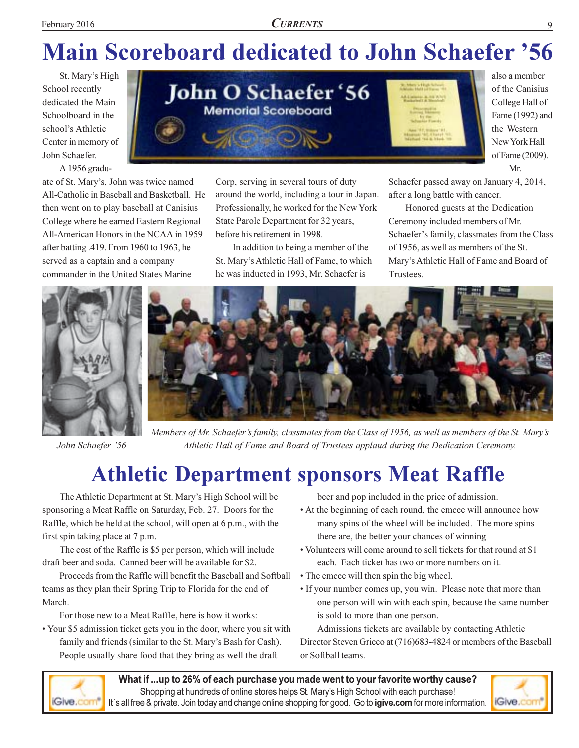## **Main Scoreboard dedicated to John Schaefer '56**

Corp, serving in several tours of duty

State Parole Department for 32 years,

before his retirement in 1998.

around the world, including a tour in Japan.

Professionally, he worked for the New York

In addition to being a member of the

St. Mary's Athletic Hall of Fame, to which

he was inducted in 1993, Mr. Schaefer is

St. Mary's High School recently dedicated the Main Schoolboard in the school's Athletic Center in memory of John Schaefer. A 1956 gradu-

ate of St. Mary's, John was twice named All-Catholic in Baseball and Basketball. He then went on to play baseball at Canisius College where he earned Eastern Regional All-American Honors in the NCAA in 1959 after batting .419. From 1960 to 1963, he served as a captain and a company commander in the United States Marine



also a member of the Canisius College Hall of Fame (1992) and the Western New York Hall of Fame (2009). Mr.

Schaefer passed away on January 4, 2014, after a long battle with cancer.

Honored guests at the Dedication Ceremony included members of Mr. Schaefer's family, classmates from the Class of 1956, as well as members of the St. Mary's Athletic Hall of Fame and Board of Trustees.



John Schaefer '56



Members of Mr. Schaefer's family, classmates from the Class of 1956, as well as members of the St. Mary's Athletic Hall of Fame and Board of Trustees applaud during the Dedication Ceremony.

### **Athletic Department sponsors Meat Raffle**

The Athletic Department at St. Mary's High School will be sponsoring a Meat Raffle on Saturday, Feb. 27. Doors for the Raffle, which be held at the school, will open at 6 p.m., with the first spin taking place at 7 p.m.

The cost of the Raffle is \$5 per person, which will include draft beer and soda. Canned beer will be available for \$2.

Proceeds from the Raffle will benefit the Baseball and Softball teams as they plan their Spring Trip to Florida for the end of March.

For those new to a Meat Raffle, here is how it works:

• Your \$5 admission ticket gets you in the door, where you sit with family and friends (similar to the St. Mary's Bash for Cash). People usually share food that they bring as well the draft

beer and pop included in the price of admission.

- At the beginning of each round, the emcee will announce how many spins of the wheel will be included. The more spins there are, the better your chances of winning
- Volunteers will come around to sell tickets for that round at \$1 each. Each ticket has two or more numbers on it.
- The emcee will then spin the big wheel.
- If your number comes up, you win. Please note that more than one person will win with each spin, because the same number is sold to more than one person.

Admissions tickets are available by contacting Athletic Director Steven Grieco at (716)683-4824 or members of the Baseball or Softball teams.



What if ...up to 26% of each purchase you made went to your favorite worthy cause? Shopping at hundreds of online stores helps St. Mary's High School with each purchase! It's all free & private. Join today and change online shopping for good. Go to **igive.com** for more information.

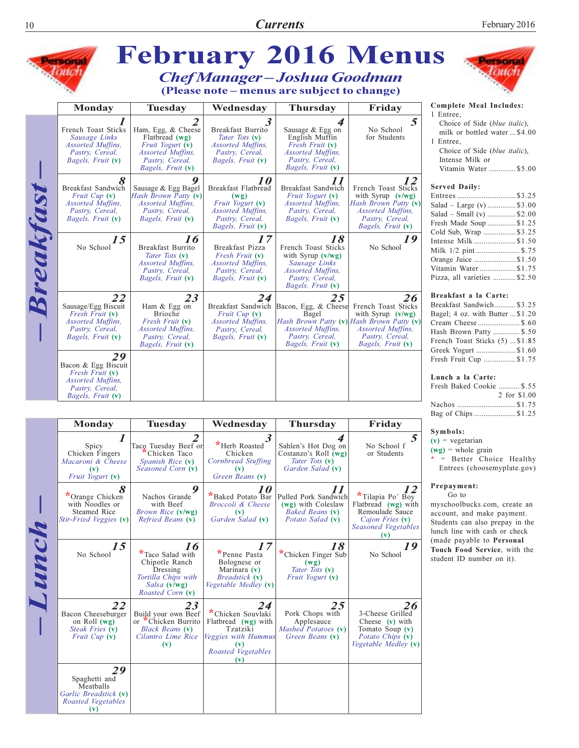$10\,$ 

|           | <b>SOMM</b>                                                                                                           |                                                                                                                                     |                                                                                                                                             |                                                                                                                                                                  | <b>February 2016 Menus</b>                                                                                                                   |                                                                                                                                                                                                                                                  |  |
|-----------|-----------------------------------------------------------------------------------------------------------------------|-------------------------------------------------------------------------------------------------------------------------------------|---------------------------------------------------------------------------------------------------------------------------------------------|------------------------------------------------------------------------------------------------------------------------------------------------------------------|----------------------------------------------------------------------------------------------------------------------------------------------|--------------------------------------------------------------------------------------------------------------------------------------------------------------------------------------------------------------------------------------------------|--|
|           |                                                                                                                       |                                                                                                                                     |                                                                                                                                             | <b>Chef Manager-Joshua Goodman</b><br>(Please note - menus are subject to change)                                                                                |                                                                                                                                              |                                                                                                                                                                                                                                                  |  |
|           | <b>Monday</b>                                                                                                         | <b>Tuesday</b>                                                                                                                      | Wednesday                                                                                                                                   | <b>Thursday</b>                                                                                                                                                  | Friday                                                                                                                                       | Complete Meal Includes:                                                                                                                                                                                                                          |  |
| Breakfast | French Toast Sticks<br>Sausage Links<br>Assorted Muffins,<br>Pastry, Cereal,<br>Bagels, Fruit (v)                     | 2<br>Ham, Egg, & Cheese<br>Flatbread $(wg)$<br>Fruit Yogurt (v)<br>Assorted Muffins,<br>Pastry, Cereal,<br><i>Bagels, Fruit</i> (v) | 3.<br>Breakfast Burrito<br>Tater Tots (v)<br>Assorted Muffins,<br>Pastry, Cereal,<br><i>Bagels, Fruit</i> (v)                               | 4<br>Sausage & Egg on<br>English Muffin<br>Fresh Fruit (v)<br><i>Assorted Muffins,</i><br>Pastry, Cereal,<br>Bagels, Fruit (v)                                   | 5<br>No School<br>for Students                                                                                                               | 1 Entree,<br>Choice of Side (blue italic),<br>milk or bottled water  \$4.00<br>1 Entree,<br>Choice of Side (blue italic),<br>Intense Milk or<br>Vitamin Water  \$5.00                                                                            |  |
|           | 8<br>Breakfast Sandwich<br><i>Fruit Cup</i> $(v)$<br><i>Assorted Muffins,</i><br>Pastry, Cereal,<br>Bagels, Fruit (v) | 9<br>Sausage & Egg Bagel<br>Hash Brown Patty (v)<br>Assorted Muffins,<br>Pastry, Cereal,<br><i>Bagels, Fruit</i> (v)                | <i>10</i><br>Breakfast Flatbread<br>(wg)<br>Fruit Yogurt (v)<br><i>Assorted Muffins,</i><br>Pastry, Cereal,<br>Bagels, Fruit (v)            | 77<br>Breakfast Sandwich<br><i>Fruit Yogurt</i> (v)<br>Assorted Muffins,<br>Pastry, Cereal,<br>Bagels, Fruit (v)                                                 | 12<br>French Toast Sticks<br>with Syrup $(v/wg)$<br>Hash Brown Patty (v)<br><i>Assorted Muffins,</i><br>Pastry, Cereal,<br>Bagels, Fruit (v) | <b>Served Daily:</b><br>Entrees\$3.25<br>Salad – Large (v)  \$3.00<br>Salad – Small (v) \$2.00<br>Fresh Made Soup \$1.25<br>Cold Sub, Wrap  \$3.25                                                                                               |  |
|           | 15<br>No School                                                                                                       | 16<br>Breakfast Burrito<br>Tater Tots (v)<br><b>Assorted Muffins.</b><br>Pastry, Cereal,<br>Bagels, Fruit (v)                       | 17<br>Breakfast Pizza<br>Fresh Fruit (v)<br><i>Assorted Muffins,</i><br>Pastry, Cereal,<br>Bagels, Fruit (v)                                | 18<br>French Toast Sticks<br>with Syrup $(v/wg)$<br>Sausage Links<br><b>Assorted Muffins,</b><br>Pastry, Cereal,<br>Bagels, Fruit (v)                            | 19<br>No School                                                                                                                              | Intense Milk \$1.50<br>Milk 1/2 pint  \$.75<br>Orange Juice  \$1.50<br>Vitamin Water  \$1.75<br>Pizza, all varieties \$2.50                                                                                                                      |  |
|           | 22<br>Sausage/Egg Biscuit<br>Fresh Fruit (v)<br><i>Assorted Muffins,</i><br>Pastry, Cereal,<br>Bagels, Fruit (v)      | 23<br>Ham & Egg on<br><b>Brioche</b><br>Fresh Fruit (v)<br><i>Assorted Muffins,</i><br>Pastry, Cereal,<br>Bagels, Fruit (v)         | 24<br><i>Fruit Cup</i> $(v)$<br><i>Assorted Muffins,</i><br>Pastry, Cereal,<br>Bagels, Fruit (v)                                            | 25<br>Breakfast Sandwich Bacon, Egg, & Cheese<br>Bagel<br>Hash Brown Patty (v) Hash Brown Patty (v)<br>Assorted Muffins,<br>Pastry, Cereal,<br>Bagels, Fruit (v) | 26<br>French Toast Sticks<br>with Syrup $(v/wg)$<br>Assorted Muffins,<br>Pastry, Cereal,<br>Bagels, Fruit (v)                                | Breakfast a la Carte:<br>Breakfast Sandwich  \$3.25<br>Bagel; 4 oz. with Butter  \$1.20<br>Cream Cheese \$.60<br>Hash Brown Patty  \$.50<br>French Toast Sticks (5)  \$1.85<br>Greek Yogurt \$1.60                                               |  |
|           | 29<br>Bacon & Egg Biscuit<br>Fresh Fruit (v)<br><i>Assorted Muffins,</i><br>Pastry, Cereal,<br>Bagels, Fruit (v)      |                                                                                                                                     |                                                                                                                                             |                                                                                                                                                                  |                                                                                                                                              | Fresh Fruit Cup \$1.75<br>Lunch a la Carte:<br>Fresh Baked Cookie  \$.55<br>2 for \$1.00<br>Nachos \$1.75                                                                                                                                        |  |
|           | <b>Monday</b>                                                                                                         | <b>Tuesday</b>                                                                                                                      | Wednesday                                                                                                                                   | <b>Thursday</b>                                                                                                                                                  | Friday                                                                                                                                       | Bag of Chips \$1.25                                                                                                                                                                                                                              |  |
| Lunch     | 1<br>Spicy<br>Chicken Fingers<br>Macaroni & Cheese<br>$(\mathbf{v})$<br>Fruit Yogurt (v)                              | 2<br>Taco Tuesday Beef or<br>Chicken Taco<br>Spanish Rice (v)<br>Seasoned Corn (v)                                                  | 3<br>*Herb Roasted<br>Chicken<br>Cornbread Stuffing<br>$(\mathbf{v})$<br>Green Beans (v)                                                    | 4<br>Sahlen's Hot Dog on<br>Costanzo's Roll (wg)<br>Tater Tots (v)<br>Garden Salad (v)                                                                           | No School f<br>or Students                                                                                                                   | Symbols:<br>$(v)$ = vegetarian<br>$(wg)$ = whole grain<br>$*$ = Better Choice Healthy<br>Entrees (choosemyplate.gov)                                                                                                                             |  |
|           | 8<br>*Orange Chicken<br>with Noodles or<br>Steamed Rice<br>Stir-Fried Veggies (v)                                     | 9<br>Nachos Grande<br>with Beef<br>Brown Rice (v/wg)<br>Refried Beans (v)                                                           | 10<br>*Baked Potato Bar<br>Broccoli & Cheese<br>(v)<br>Garden Salad (v)                                                                     | 11<br>Pulled Pork Sandwich<br>(wg) with Coleslaw<br>Baked Beans (v)<br>Potato Salad (v)                                                                          | 12<br>*Tilapia Po' Boy<br>Flatbread (wg) with<br>Remoulade Sauce<br>Cajon Fries (v)<br>Seasoned Vegetables<br>$(\mathbf{v})$                 | Prepayment:<br>Go to<br>myschoolbucks.com, create an<br>account, and make payment.<br>Students can also prepay in the<br>lunch line with cash or check<br>(made payable to Personal<br>Touch Food Service, with the<br>student ID number on it). |  |
|           | 15<br>No School                                                                                                       | 16<br>*Taco Salad with<br>Chipotle Ranch<br>Dressing<br>Tortilla Chips with<br>Salsa (v/wg)<br>Roasted Corn (v)                     | 17<br>*Penne Pasta<br>Bolognese or<br>Marinara (v)<br><i>Breadstick</i> (v)<br>Vegetable Medley (v)                                         | 18<br>*Chicken Finger Sub<br>(wg)<br>Tater Tots (v)<br>Fruit Yogurt (v)                                                                                          | 19<br>No School                                                                                                                              |                                                                                                                                                                                                                                                  |  |
|           | 22<br>Bacon Cheeseburger<br>on Roll $(wg)$<br>Steak Fries (v)<br><i>Fruit Cup</i> ( <b>v</b> )                        | 23<br>Build your own Beef<br>or Chicken Burrito<br><b>Black Beans (v)</b><br>Cilantro Lime Rice<br>$(\mathbf{v})$                   | 24<br>*Chicken Souvlaki<br>Flatbread (wg) with<br>Tzatziki<br>Veggies with Hummus<br>$(\mathbf{v})$<br>Roasted Vegetables<br>$(\mathbf{v})$ | 25<br>Pork Chops with<br>Applesauce<br>Mashed Potatoes (v)<br>Green Beans (v)                                                                                    | 26<br>3-Cheese Grilled<br>Cheese $(v)$ with<br>Tomato Soup (v)<br><i>Potato Chips</i> (v)<br>Vegetable Medley (v)                            |                                                                                                                                                                                                                                                  |  |
|           | 29                                                                                                                    |                                                                                                                                     |                                                                                                                                             |                                                                                                                                                                  |                                                                                                                                              |                                                                                                                                                                                                                                                  |  |

 $\begin{array}{c}\n 29 \\
\hline\n \text{Spaghetti and  
Meatballs} \\
\text{Garlic Breadstick (v)} \\
\hline\n \text{Roadstd Vegetables} \\
\hline\n (v) \\
\hline\n \end{array}$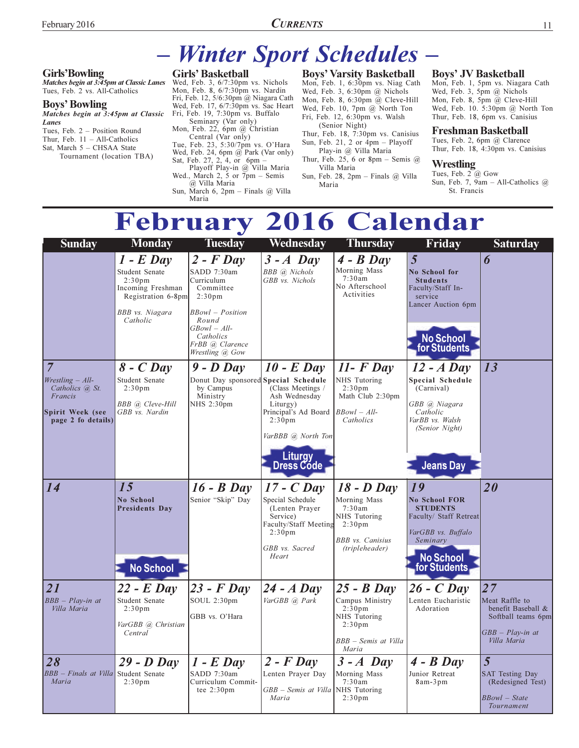#### **Girls'Bowling**

Matches begin at 3:45pm at Classic Lanes Tues, Feb. 2 vs. All-Catholics

#### **Boys' Bowling**

Matches begin at 3:45pm at Classic Lanes

Tues, Feb. 2 - Position Round Thur, Feb.  $11 - All-Catholics$ Sat. March 5 - CHSAA State Tournament (location TBA)

#### **Winter Sport Schedules -** $\frac{1}{2}$

#### **Girls' Basketball**

Wed, Feb. 3,  $6/7:30 \text{pm}$  vs. Nichols Mon, Feb. 8,  $6/7:30$ pm vs. Nardin Fri, Feb. 12, 5/6:30pm @ Niagara Cath Wed, Feb. 17, 6/7:30pm vs. Sac Heart Fri, Feb. 19, 7:30pm vs. Buffalo Seminary (Var only)

Mon, Feb. 22, 6pm @ Christian From Gentral (Var only)<br>Tue, Feb. 23, 5:30/7pm vs. O'Hara<br>Wed, Feb. 24, 6pm @ Park (Var only)<br>Sat, Feb. 27, 2, 4, or 6pm –<br>Playoff Play-in @ Villa Maria Wed., March 2,  $\frac{5}{7}$  or  $\frac{6}{7}$ pm - Semis @ Villa Maria Sun, March 6, 2pm - Finals @ Villa Maria

**Boys' Varsity Basketball** Mon, Feb. 1, 6:30pm vs. Niag Cath Wed, Feb. 3, 6:30pm @ Nichols Mon, Feb. 8, 6:30pm @ Cleve-Hill Wed, Feb. 10, 7pm @ North Ton Fri, Feb. 12, 6:30pm vs. Walsh

(Senior Night) Thur, Feb. 18, 7:30pm vs. Canisius Sun, Feb. 21, 2 or  $4\text{pm}$  – Playoff

#### Play-in @ Villa Maria Thur, Feb. 25, 6 or 8pm - Semis  $@$ Villa Maria

Sun, Feb. 28, 2pm - Finals @ Villa Maria

#### **Boys' JV Basketball**

Mon, Feb. 1, 5pm vs. Niagara Cath Wed, Feb. 3, 5pm @ Nichols Mon, Feb. 8, 5pm @ Cleve-Hill Wed, Feb. 10. 5:30pm @ North Ton Thur, Feb. 18, 6pm vs. Canisius

#### Freshman Basketball

Tues, Feb. 2, 6pm @ Clarence Thur, Feb. 18, 4:30pm vs. Canisius

#### Wrestling

Tues, Feb.  $2\overline{a}$  Gow Sun, Feb. 7,  $\widetilde{9am}$  - All-Catholics @ St. Francis

### **February 2016 Calendar**

| <b>Sunday</b>                                                                                   | <b>Monday</b>                                                                                                                   | <b>Tuesday</b>                                                                                                                                                                         | Wednesday                                                                                                                                                          | <b>Thursday</b>                                                                                                              | Friday                                                                                                                                        | <b>Saturday</b>                                                                                       |
|-------------------------------------------------------------------------------------------------|---------------------------------------------------------------------------------------------------------------------------------|----------------------------------------------------------------------------------------------------------------------------------------------------------------------------------------|--------------------------------------------------------------------------------------------------------------------------------------------------------------------|------------------------------------------------------------------------------------------------------------------------------|-----------------------------------------------------------------------------------------------------------------------------------------------|-------------------------------------------------------------------------------------------------------|
|                                                                                                 | $1$ - $E$ Day<br>Student Senate<br>2:30 <sub>pm</sub><br>Incoming Freshman<br>Registration 6-8pm<br>BBB vs. Niagara<br>Catholic | $2$ - $F$ Day<br>SADD 7:30am<br>Curriculum<br>Committee<br>2:30 <sub>pm</sub><br><b>BBowl</b> - Position<br>Round<br>$GBowl - All-$<br>Catholics<br>FrBB @ Clarence<br>Wrestling @ Gow | $3 - A$ Day<br><b>BBB</b> @ Nichols<br>GBB vs. Nichols                                                                                                             | $4 - B$ Day<br>Morning Mass<br>7:30am<br>No Afterschool<br>Activities                                                        | 5<br>No School for<br><b>Students</b><br>Faculty/Staff In-<br>service<br>Lancer Auction 6pm<br>No School<br>for Students                      | 6                                                                                                     |
| 7<br>$Wrestling - All-$<br>Catholics @ St.<br>Francis<br>Spirit Week (see<br>page 2 fo details) | $8$ - $C$ Day<br>Student Senate<br>2:30 <sub>pm</sub><br><b>BBB</b> @ Cleve-Hill<br>GBB vs. Nardin                              | $9$ - $D$ Day<br>Donut Day sponsored Special Schedule<br>by Campus<br>Ministry<br>NHS 2:30pm                                                                                           | $10$ - E Day<br>(Class Meetings /<br>Ash Wednesday<br>Liturgy)<br>Principal's Ad Board<br>2:30 <sub>pm</sub><br>VarBBB @ North Ton<br><b>Liturgy</b><br>Dress Códe | $11 - F$ Day<br>NHS Tutoring<br>2:30 <sub>pm</sub><br>Math Club 2:30pm<br>$BBowl - All-$<br>Catholics                        | $12 - A$ Day<br><b>Special Schedule</b><br>(Carnival)<br>GBB @ Niagara<br>Catholic<br>VarBB vs. Walsh<br>(Senior Night)<br><b>Jeans Day</b>   | 13                                                                                                    |
| 14                                                                                              | 15<br><b>No School</b><br>Presidents Day<br><b>No School</b>                                                                    | $16 - B$ Day<br>Senior "Skip" Day                                                                                                                                                      | $17$ - $C$ Day<br>Special Schedule<br>(Lenten Prayer<br>Service)<br>Faculty/Staff Meeting<br>2:30 <sub>pm</sub><br>GBB vs. Sacred<br>Heart                         | $18$ - $D$ Day<br>Morning Mass<br>7:30am<br>NHS Tutoring<br>2:30 <sub>pm</sub><br><b>BBB</b> vs. Canisius<br>(tripleheader)  | 19<br><b>No School FOR</b><br><b>STUDENTS</b><br>Faculty/ Staff Retreat<br>VarGBB vs. Buffalo<br>Seminary<br><b>No School</b><br>for Students | 20                                                                                                    |
| 21<br>$BBB - Play-in$ at<br>Villa Maria                                                         | $22$ - E Day<br>Student Senate<br>2:30 <sub>pm</sub><br>VarGBB @ Christian<br>Central                                           | $23$ - $F$ Day<br>SOUL 2:30pm<br>GBB vs. O'Hara                                                                                                                                        | $24 - A$ Day<br>VarGBB @ Park                                                                                                                                      | $25 - B$ Day<br>Campus Ministry<br>2:30 <sub>pm</sub><br>NHS Tutoring<br>2:30 <sub>pm</sub><br>BBB – Semis at Villa<br>Maria | $26$ - $C$ Day<br>Lenten Eucharistic<br>Adoration                                                                                             | 27<br>Meat Raffle to<br>benefit Baseball &<br>Softball teams 6pm<br>$GBB - Play-in$ at<br>Villa Maria |
| 28<br>BBB - Finals at Villa Student Senate<br>Maria                                             | $29 - D$ Day<br>2:30 <sub>pm</sub>                                                                                              | $1$ - E Day<br>SADD 7:30am<br>Curriculum Commit-<br>tee $2:30 \text{pm}$                                                                                                               | $2$ - $F$ Day<br>Lenten Prayer Day<br>GBB – Semis at Villa<br>Maria                                                                                                | $3 - A$ Day<br>Morning Mass<br>7:30am<br>NHS Tutoring<br>2:30 <sub>pm</sub>                                                  | $4 - B$ Day<br>Junior Retreat<br>8am-3pm                                                                                                      | 5<br><b>SAT Testing Day</b><br>(Redesigned Test)<br><b>BBowl</b> – State<br>Tournament                |